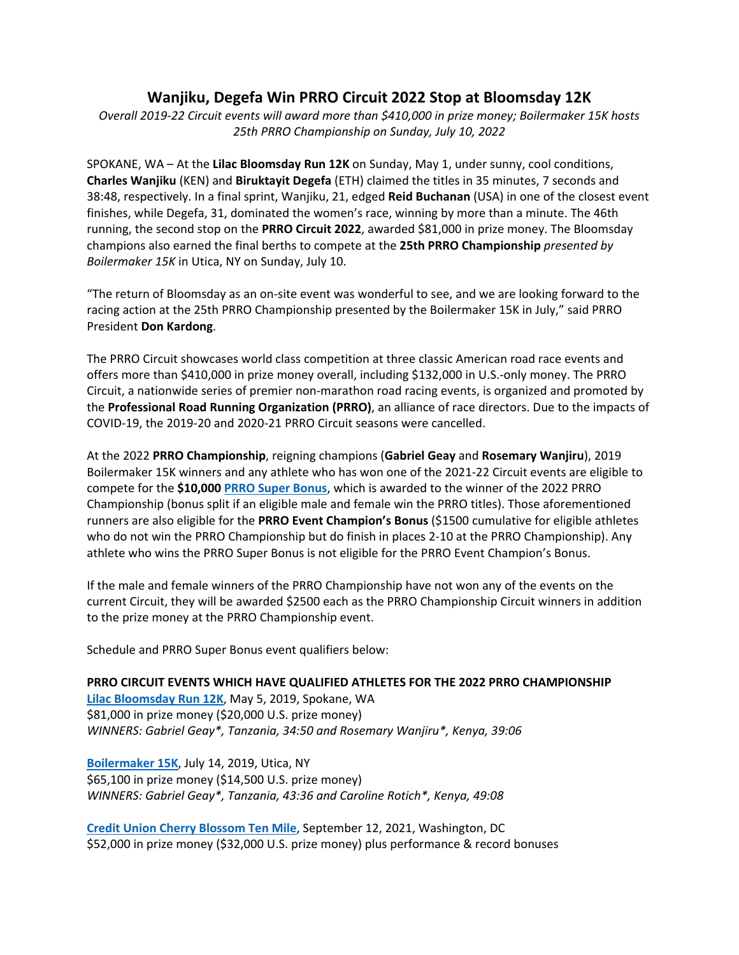## **Wanjiku, Degefa Win PRRO Circuit 2022 Stop at Bloomsday 12K**

*Overall 2019‐22 Circuit events will award more than \$410,000 in prize money; Boilermaker 15K hosts 25th PRRO Championship on Sunday, July 10, 2022* 

SPOKANE, WA – At the **Lilac Bloomsday Run 12K** on Sunday, May 1, under sunny, cool conditions, **Charles Wanjiku** (KEN) and **Biruktayit Degefa** (ETH) claimed the titles in 35 minutes, 7 seconds and 38:48, respectively. In a final sprint, Wanjiku, 21, edged **Reid Buchanan** (USA) in one of the closest event finishes, while Degefa, 31, dominated the women's race, winning by more than a minute. The 46th running, the second stop on the **PRRO Circuit 2022**, awarded \$81,000 in prize money. The Bloomsday champions also earned the final berths to compete at the **25th PRRO Championship** *presented by Boilermaker 15K* in Utica, NY on Sunday, July 10.

"The return of Bloomsday as an on‐site event was wonderful to see, and we are looking forward to the racing action at the 25th PRRO Championship presented by the Boilermaker 15K in July," said PRRO President **Don Kardong**.

The PRRO Circuit showcases world class competition at three classic American road race events and offers more than \$410,000 in prize money overall, including \$132,000 in U.S.‐only money. The PRRO Circuit, a nationwide series of premier non‐marathon road racing events, is organized and promoted by the **Professional Road Running Organization (PRRO)**, an alliance of race directors. Due to the impacts of COVID‐19, the 2019‐20 and 2020‐21 PRRO Circuit seasons were cancelled.

At the 2022 **PRRO Championship**, reigning champions (**Gabriel Geay** and **Rosemary Wanjiru**), 2019 Boilermaker 15K winners and any athlete who has won one of the 2021‐22 Circuit events are eligible to compete for the **\$10,000 PRRO Super Bonus**, which is awarded to the winner of the 2022 PRRO Championship (bonus split if an eligible male and female win the PRRO titles). Those aforementioned runners are also eligible for the **PRRO Event Champion's Bonus** (\$1500 cumulative for eligible athletes who do not win the PRRO Championship but do finish in places 2‐10 at the PRRO Championship). Any athlete who wins the PRRO Super Bonus is not eligible for the PRRO Event Champion's Bonus.

If the male and female winners of the PRRO Championship have not won any of the events on the current Circuit, they will be awarded \$2500 each as the PRRO Championship Circuit winners in addition to the prize money at the PRRO Championship event.

Schedule and PRRO Super Bonus event qualifiers below:

## **PRRO CIRCUIT EVENTS WHICH HAVE QUALIFIED ATHLETES FOR THE 2022 PRRO CHAMPIONSHIP**

**Lilac Bloomsday Run 12K**, May 5, 2019, Spokane, WA \$81,000 in prize money (\$20,000 U.S. prize money) *WINNERS: Gabriel Geay\*, Tanzania, 34:50 and Rosemary Wanjiru\*, Kenya, 39:06* 

**Boilermaker 15K**, July 14, 2019, Utica, NY \$65,100 in prize money (\$14,500 U.S. prize money) *WINNERS: Gabriel Geay\*, Tanzania, 43:36 and Caroline Rotich\*, Kenya, 49:08* 

**Credit Union Cherry Blossom Ten Mile**, September 12, 2021, Washington, DC \$52,000 in prize money (\$32,000 U.S. prize money) plus performance & record bonuses